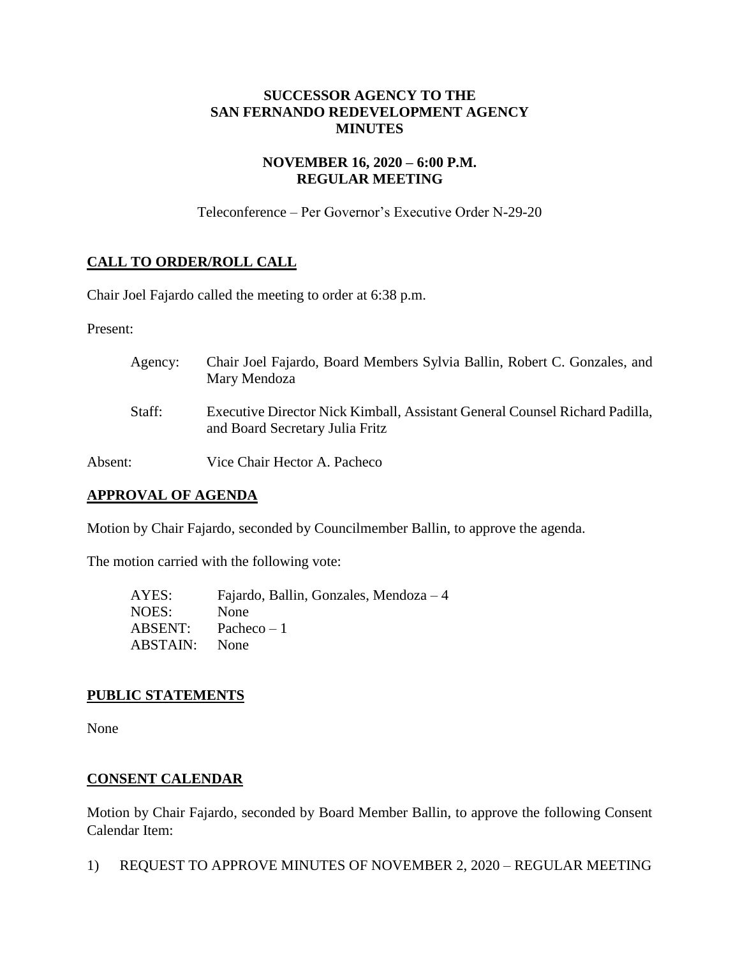# **SUCCESSOR AGENCY TO THE SAN FERNANDO REDEVELOPMENT AGENCY MINUTES**

# **NOVEMBER 16, 2020 – 6:00 P.M. REGULAR MEETING**

Teleconference – Per Governor's Executive Order N-29-20

# **CALL TO ORDER/ROLL CALL**

Chair Joel Fajardo called the meeting to order at 6:38 p.m.

Present:

| Agency: | Chair Joel Fajardo, Board Members Sylvia Ballin, Robert C. Gonzales, and<br>Mary Mendoza                       |
|---------|----------------------------------------------------------------------------------------------------------------|
| Staff:  | Executive Director Nick Kimball, Assistant General Counsel Richard Padilla,<br>and Board Secretary Julia Fritz |
| Absent: | Vice Chair Hector A. Pacheco                                                                                   |

# **APPROVAL OF AGENDA**

Motion by Chair Fajardo, seconded by Councilmember Ballin, to approve the agenda.

The motion carried with the following vote:

| AYES:    | Fajardo, Ballin, Gonzales, Mendoza $-4$ |
|----------|-----------------------------------------|
| NOES:    | None                                    |
| ABSENT:  | Pacheco $-1$                            |
| ABSTAIN: | <b>None</b>                             |

#### **PUBLIC STATEMENTS**

None

# **CONSENT CALENDAR**

Motion by Chair Fajardo, seconded by Board Member Ballin, to approve the following Consent Calendar Item:

1) REQUEST TO APPROVE MINUTES OF NOVEMBER 2, 2020 – REGULAR MEETING